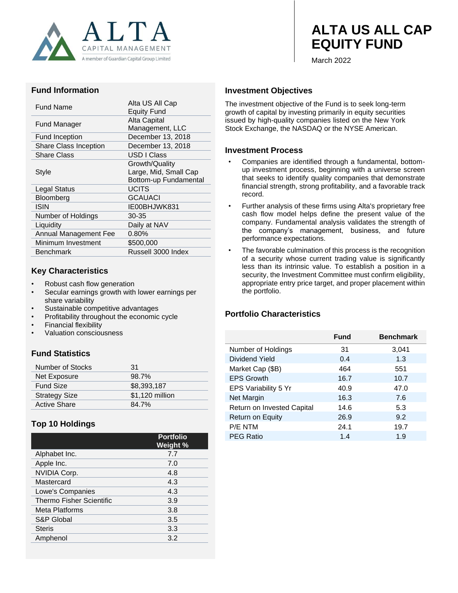

# **ALTA US ALL CAP EQUITY FUND**

March 2022

#### **Fund Information**

| Fund Name             | Alta US All Cap<br><b>Equity Fund</b> |  |
|-----------------------|---------------------------------------|--|
| Fund Manager          | Alta Capital                          |  |
|                       | Management, LLC                       |  |
| <b>Fund Inception</b> | December 13, 2018                     |  |
| Share Class Inception | December 13, 2018                     |  |
| <b>Share Class</b>    | USD I Class                           |  |
|                       | Growth/Quality                        |  |
| Style                 | Large, Mid, Small Cap                 |  |
|                       | Bottom-up Fundamental                 |  |
| Legal Status          | <b>UCITS</b>                          |  |
| Bloomberg             | <b>GCAUACI</b>                        |  |
| ISIN                  | IE00BHJWK831                          |  |
| Number of Holdings    | 30-35                                 |  |
| Liquidity             | Daily at NAV                          |  |
| Annual Management Fee | $0.80\%$                              |  |
| Minimum Investment    | \$500,000                             |  |
| <b>Benchmark</b>      | Russell 3000 Index                    |  |
|                       |                                       |  |

#### **Key Characteristics**

- Robust cash flow generation
- Secular earnings growth with lower earnings per share variability
- Sustainable competitive advantages
- Profitability throughout the economic cycle
- Financial flexibility
- Valuation consciousness

## **Fund Statistics**

| Number of Stocks     | 31              |
|----------------------|-----------------|
| Net Exposure         | 98.7%           |
| <b>Fund Size</b>     | \$8,393,187     |
| <b>Strategy Size</b> | \$1,120 million |
| <b>Active Share</b>  | 84.7%           |

## **Top 10 Holdings**

|                                 | <b>Portfolio</b><br>Weight % |
|---------------------------------|------------------------------|
| Alphabet Inc.                   | 7.7                          |
| Apple Inc.                      | 7.0                          |
| <b>NVIDIA Corp.</b>             | 4.8                          |
| Mastercard                      | 4.3                          |
| Lowe's Companies                | 4.3                          |
| <b>Thermo Fisher Scientific</b> | 3.9                          |
| Meta Platforms                  | 3.8                          |
| S&P Global                      | 3.5                          |
| <b>Steris</b>                   | 3.3                          |
| Amphenol                        | 3.2                          |

#### **Investment Objectives**

The investment objective of the Fund is to seek long-term growth of capital by investing primarily in equity securities issued by high-quality companies listed on the New York Stock Exchange, the NASDAQ or the NYSE American.

#### **Investment Process**

- Companies are identified through a fundamental, bottomup investment process, beginning with a universe screen that seeks to identify quality companies that demonstrate financial strength, strong profitability, and a favorable track record.
- Further analysis of these firms using Alta's proprietary free cash flow model helps define the present value of the company. Fundamental analysis validates the strength of the company's management, business, and future performance expectations.
- The favorable culmination of this process is the recognition of a security whose current trading value is significantly less than its intrinsic value. To establish a position in a security, the Investment Committee must confirm eligibility, appropriate entry price target, and proper placement within the portfolio.

#### **Portfolio Characteristics**

|                            | Fund | <b>Benchmark</b> |
|----------------------------|------|------------------|
| Number of Holdings         | 31   | 3,041            |
| Dividend Yield             | 0.4  | 1.3              |
| Market Cap (\$B)           | 464  | 551              |
| <b>EPS Growth</b>          | 16.7 | 10.7             |
| EPS Variability 5 Yr       | 40.9 | 47.0             |
| Net Margin                 | 16.3 | 7.6              |
| Return on Invested Capital | 14.6 | 5.3              |
| Return on Equity           | 26.9 | 9.2              |
| P/E NTM                    | 24.1 | 19.7             |
| <b>PEG Ratio</b>           | 1.4  | 1.9              |